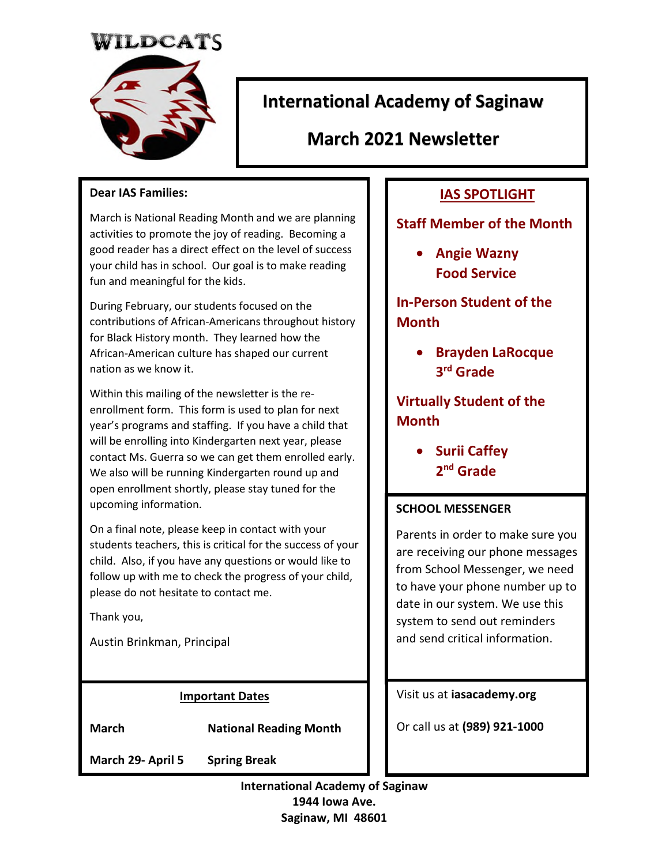# TILDCATS



# **International Academy of Saginaw**

**March 2021 Newsletter** 

#### **Dear IAS Families:**

March is National Reading Month and we are planning activities to promote the joy of reading. Becoming a good reader has a direct effect on the level of success your child has in school. Our goal is to make reading fun and meaningful for the kids.

During February, our students focused on the contributions of African-Americans throughout history for Black History month. They learned how the African-American culture has shaped our current nation as we know it.

Within this mailing of the newsletter is the reenrollment form. This form is used to plan for next year's programs and staffing. If you have a child that will be enrolling into Kindergarten next year, please contact Ms. Guerra so we can get them enrolled early. We also will be running Kindergarten round up and open enrollment shortly, please stay tuned for the upcoming information.

On a final note, please keep in contact with your students teachers, this is critical for the success of your child. Also, if you have any questions or would like to follow up with me to check the progress of your child, please do not hesitate to contact me.

Thank you,

Austin Brinkman, Principal

#### **Important Dates**

**March National Reading Month** 

**March 29- April 5 Spring Break** 

# **IAS SPOTLIGHT**

#### **Staff Member of the Month**

 **Angie Wazny Food Service** 

**In-Person Student of the Month** 

> **Brayden LaRocque 3 rd Grade**

**Virtually Student of the Month** 

> **•** Surii Caffey **2 nd Grade**

#### **SCHOOL MESSENGER**

Parents in order to make sure you are receiving our phone messages from School Messenger, we need to have your phone number up to date in our system. We use this system to send out reminders and send critical information.

Visit us at **iasacademy.org** 

Or call us at **(989) 921-1000**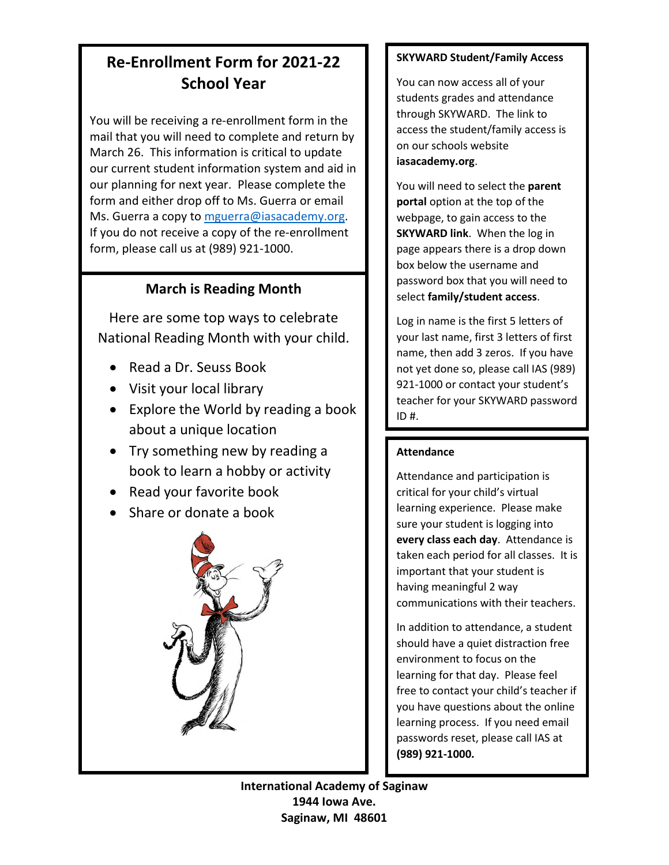# **Re-Enrollment Form for 2021-22 School Year**

You will be receiving a re-enrollment form in the mail that you will need to complete and return by March 26. This information is critical to update our current student information system and aid in our planning for next year. Please complete the form and either drop off to Ms. Guerra or email Ms. Guerra a copy to [mguerra@iasacademy.org.](mailto:mguerra@iasacademy.org) If you do not receive a copy of the re-enrollment form, please call us at (989) 921-1000.

## **March is Reading Month**

Here are some top ways to celebrate National Reading Month with your child.

- Read a Dr. Seuss Book
- Visit your local library
- Explore the World by reading a book about a unique location
- Try something new by reading a book to learn a hobby or activity
- Read your favorite book
- Share or donate a book



#### **SKYWARD Student/Family Access**

You can now access all of your students grades and attendance through SKYWARD. The link to access the student/family access is on our schools website **iasacademy.org**.

You will need to select the **parent portal** option at the top of the webpage, to gain access to the **SKYWARD link**. When the log in page appears there is a drop down box below the username and password box that you will need to select **family/student access**.

Log in name is the first 5 letters of your last name, first 3 letters of first name, then add 3 zeros. If you have not yet done so, please call IAS (989) 921-1000 or contact your student's teacher for your SKYWARD password  $ID#$ .

#### **Attendance**

Attendance and participation is critical for your child's virtual learning experience. Please make sure your student is logging into **every class each day**. Attendance is taken each period for all classes. It is important that your student is having meaningful 2 way communications with their teachers.

In addition to attendance, a student should have a quiet distraction free environment to focus on the learning for that day. Please feel free to contact your child's teacher if you have questions about the online learning process. If you need email passwords reset, please call IAS at **(989) 921-1000.**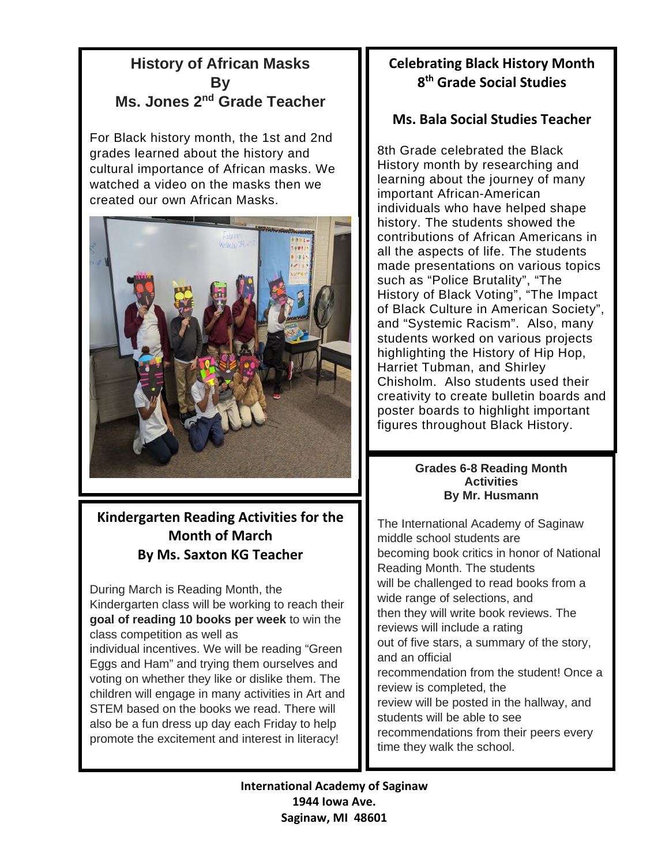# **History of African Masks By Ms. Jones 2nd Grade Teacher**

For Black history month, the 1st and 2nd grades learned about the history and cultural importance of African masks. We watched a video on the masks then we created our own African Masks.



# **Kindergarten Reading Activities for the Month of March By Ms. Saxton KG Teacher**

During March is Reading Month, the Kindergarten class will be working to reach their **goal of reading 10 books per week** to win the class competition as well as individual incentives. We will be reading "Green Eggs and Ham" and trying them ourselves and voting on whether they like or dislike them. The children will engage in many activities in Art and STEM based on the books we read. There will also be a fun dress up day each Friday to help promote the excitement and interest in literacy!

# **Celebrating Black History Month 8 th Grade Social Studies**

# **Ms. Bala Social Studies Teacher**

8th Grade celebrated the Black History month by researching and learning about the journey of many important African-American individuals who have helped shape history. The students showed the contributions of African Americans in all the aspects of life. The students made presentations on various topics such as "Police Brutality", "The History of Black Voting", "The Impact of Black Culture in American Society", and "Systemic Racism". Also, many students worked on various projects highlighting the History of Hip Hop, Harriet Tubman, and Shirley Chisholm. Also students used their creativity to create bulletin boards and poster boards to highlight important figures throughout Black History.

#### **Grades 6-8 Reading Month Activities By Mr. Husmann**

The International Academy of Saginaw middle school students are becoming book critics in honor of National Reading Month. The students will be challenged to read books from a wide range of selections, and then they will write book reviews. The reviews will include a rating out of five stars, a summary of the story, and an official recommendation from the student! Once a review is completed, the review will be posted in the hallway, and students will be able to see recommendations from their peers every time they walk the school.